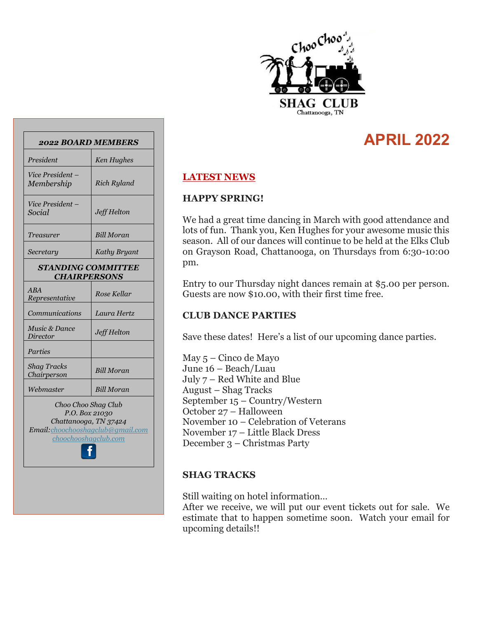

# **APRIL 2022**

### **LATEST NEWS**

#### **HAPPY SPRING!**

We had a great time dancing in March with good attendance and lots of fun. Thank you, Ken Hughes for your awesome music this season. All of our dances will continue to be held at the Elks Club on Grayson Road, Chattanooga, on Thursdays from 6:30-10:00 pm.

Entry to our Thursday night dances remain at \$5.00 per person. Guests are now \$10.00, with their first time free.

### **CLUB DANCE PARTIES**

Save these dates! Here's a list of our upcoming dance parties.

May 5 – Cinco de Mayo June 16 – Beach/Luau July 7 – Red White and Blue August – Shag Tracks September 15 – Country/Western October 27 – Halloween November 10 – Celebration of Veterans November 17 – Little Black Dress December 3 – Christmas Party

### **SHAG TRACKS**

Still waiting on hotel information…

After we receive, we will put our event tickets out for sale. We estimate that to happen sometime soon. Watch your email for upcoming details!!

| President                                                                                           | Ken Hughes          |  |  |  |
|-----------------------------------------------------------------------------------------------------|---------------------|--|--|--|
| Vice President -<br>Membership                                                                      | Rich Ryland         |  |  |  |
| Vice President -<br>Social                                                                          | Jeff Helton         |  |  |  |
| Treasurer                                                                                           | <b>Bill Moran</b>   |  |  |  |
| Secretary                                                                                           | <b>Kathy Bryant</b> |  |  |  |
| <b>STANDING COMMITTEE</b><br><b>CHAIRPERSONS</b>                                                    |                     |  |  |  |
| ABA<br>Representative                                                                               | Rose Kellar         |  |  |  |
| Communications                                                                                      | Laura Hertz         |  |  |  |
| Music & Dance<br>Director                                                                           | Jeff Helton         |  |  |  |
| Parties                                                                                             |                     |  |  |  |
| <b>Shag Tracks</b><br>Chairperson                                                                   | <b>Bill Moran</b>   |  |  |  |
| Webmaster                                                                                           | Bill Moran          |  |  |  |
| Choo Choo Shag Club<br>P.O. Box 21030<br>Chattanooga, TN 37424<br>Email: choochooshagclub@gmail.com |                     |  |  |  |
| <u>choochooshaqclub.com</u>                                                                         |                     |  |  |  |

*2022 BOARD MEMBERS*

f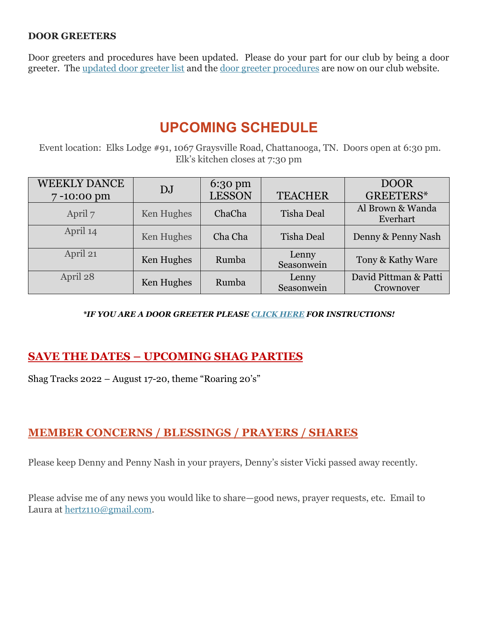### **DOOR GREETERS**

Door greeters and procedures have been updated. Please do your part for our club by being a door greeter. The [updated door greeter list](https://www.choochooshagclub.com/_files/ugd/8ed403_ad160401d76b4d96a4df60dc56dd5300.pdf) and the [door greeter procedures](https://www.choochooshagclub.com/_files/ugd/8ed403_4bd31d5a2c1b429985efc90a1ba36470.pdf) are now on our club website.

# **UPCOMING SCHEDULE**

Event location: Elks Lodge #91, 1067 Graysville Road, Chattanooga, TN. Doors open at 6:30 pm. Elk's kitchen closes at 7:30 pm

| <b>WEEKLY DANCE</b> | DJ         | $6:30 \text{ pm}$ |                     | <b>DOOR</b>                        |
|---------------------|------------|-------------------|---------------------|------------------------------------|
| 7-10:00 pm          |            | <b>LESSON</b>     | <b>TEACHER</b>      | GREETERS*                          |
| April 7             | Ken Hughes | ChaCha            | Tisha Deal          | Al Brown & Wanda<br>Everhart       |
| April 14            | Ken Hughes | Cha Cha           | Tisha Deal          | Denny & Penny Nash                 |
| April 21            | Ken Hughes | Rumba             | Lenny<br>Seasonwein | Tony & Kathy Ware                  |
| April 28            | Ken Hughes | Rumba             | Lenny<br>Seasonwein | David Pittman & Patti<br>Crownover |

### *\*IF YOU ARE A DOOR GREETER PLEASE [CLICK HERE](https://f1cd88c2-bbf0-48cf-a44f-89fdf87b27f1.filesusr.com/ugd/8ed403_4bd31d5a2c1b429985efc90a1ba36470.pdf) FOR INSTRUCTIONS!*

## **SAVE THE DATES – UPCOMING SHAG PARTIES**

Shag Tracks 2022 – August 17-20, theme "Roaring 20's"

## **MEMBER CONCERNS / BLESSINGS / PRAYERS / SHARES**

Please keep Denny and Penny Nash in your prayers, Denny's sister Vicki passed away recently.

Please advise me of any news you would like to share—good news, prayer requests, etc. Email to Laura at [hertz110@gmail.com.](mailto:hertz110@gmail.com)